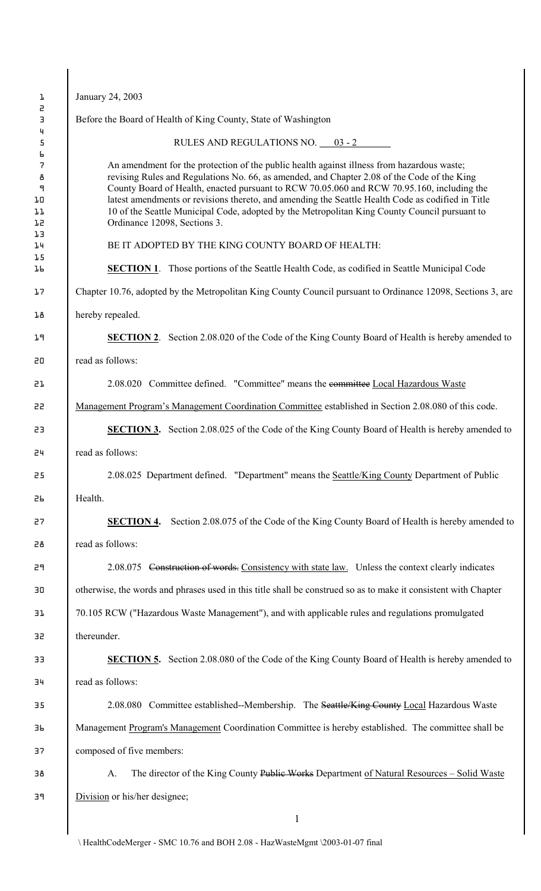| January 24, 2003                                                                                                                                                                                                                                                                                                                                                                                                                                                                                                              |  |  |
|-------------------------------------------------------------------------------------------------------------------------------------------------------------------------------------------------------------------------------------------------------------------------------------------------------------------------------------------------------------------------------------------------------------------------------------------------------------------------------------------------------------------------------|--|--|
| Before the Board of Health of King County, State of Washington                                                                                                                                                                                                                                                                                                                                                                                                                                                                |  |  |
| RULES AND REGULATIONS NO. 03 - 2                                                                                                                                                                                                                                                                                                                                                                                                                                                                                              |  |  |
| An amendment for the protection of the public health against illness from hazardous waste;<br>revising Rules and Regulations No. 66, as amended, and Chapter 2.08 of the Code of the King<br>County Board of Health, enacted pursuant to RCW 70.05.060 and RCW 70.95.160, including the<br>latest amendments or revisions thereto, and amending the Seattle Health Code as codified in Title<br>10 of the Seattle Municipal Code, adopted by the Metropolitan King County Council pursuant to<br>Ordinance 12098, Sections 3. |  |  |
| BE IT ADOPTED BY THE KING COUNTY BOARD OF HEALTH:                                                                                                                                                                                                                                                                                                                                                                                                                                                                             |  |  |
| <b>SECTION 1.</b> Those portions of the Seattle Health Code, as codified in Seattle Municipal Code                                                                                                                                                                                                                                                                                                                                                                                                                            |  |  |
| Chapter 10.76, adopted by the Metropolitan King County Council pursuant to Ordinance 12098, Sections 3, are                                                                                                                                                                                                                                                                                                                                                                                                                   |  |  |
| hereby repealed.                                                                                                                                                                                                                                                                                                                                                                                                                                                                                                              |  |  |
| <b>SECTION 2.</b> Section 2.08.020 of the Code of the King County Board of Health is hereby amended to                                                                                                                                                                                                                                                                                                                                                                                                                        |  |  |
| read as follows:                                                                                                                                                                                                                                                                                                                                                                                                                                                                                                              |  |  |
| 2.08.020 Committee defined. "Committee" means the committee Local Hazardous Waste                                                                                                                                                                                                                                                                                                                                                                                                                                             |  |  |
| Management Program's Management Coordination Committee established in Section 2.08.080 of this code.                                                                                                                                                                                                                                                                                                                                                                                                                          |  |  |
| <b>SECTION 3.</b> Section 2.08.025 of the Code of the King County Board of Health is hereby amended to                                                                                                                                                                                                                                                                                                                                                                                                                        |  |  |
| read as follows:                                                                                                                                                                                                                                                                                                                                                                                                                                                                                                              |  |  |
| 2.08.025 Department defined. "Department" means the Seattle/King County Department of Public                                                                                                                                                                                                                                                                                                                                                                                                                                  |  |  |
| Health.                                                                                                                                                                                                                                                                                                                                                                                                                                                                                                                       |  |  |
| Section 2.08.075 of the Code of the King County Board of Health is hereby amended to<br><b>SECTION 4.</b>                                                                                                                                                                                                                                                                                                                                                                                                                     |  |  |
| read as follows:                                                                                                                                                                                                                                                                                                                                                                                                                                                                                                              |  |  |
| 2.08.075 Construction of words. Consistency with state law. Unless the context clearly indicates                                                                                                                                                                                                                                                                                                                                                                                                                              |  |  |
| otherwise, the words and phrases used in this title shall be construed so as to make it consistent with Chapter                                                                                                                                                                                                                                                                                                                                                                                                               |  |  |
| 70.105 RCW ("Hazardous Waste Management"), and with applicable rules and regulations promulgated                                                                                                                                                                                                                                                                                                                                                                                                                              |  |  |
| thereunder.                                                                                                                                                                                                                                                                                                                                                                                                                                                                                                                   |  |  |
| <b>SECTION 5.</b> Section 2.08.080 of the Code of the King County Board of Health is hereby amended to                                                                                                                                                                                                                                                                                                                                                                                                                        |  |  |
| read as follows:                                                                                                                                                                                                                                                                                                                                                                                                                                                                                                              |  |  |
| 2.08.080 Committee established--Membership. The Seattle/King County Local Hazardous Waste                                                                                                                                                                                                                                                                                                                                                                                                                                     |  |  |
| Management Program's Management Coordination Committee is hereby established. The committee shall be                                                                                                                                                                                                                                                                                                                                                                                                                          |  |  |
| composed of five members:                                                                                                                                                                                                                                                                                                                                                                                                                                                                                                     |  |  |
| The director of the King County Public Works Department of Natural Resources – Solid Waste<br>A.                                                                                                                                                                                                                                                                                                                                                                                                                              |  |  |
|                                                                                                                                                                                                                                                                                                                                                                                                                                                                                                                               |  |  |

 $\backslash$  HealthCodeMerger - SMC 10.76 and BOH 2.08 - HazWasteMgmt  $\backslash 2003$  -01-07 final

 $\overline{\phantom{a}}$